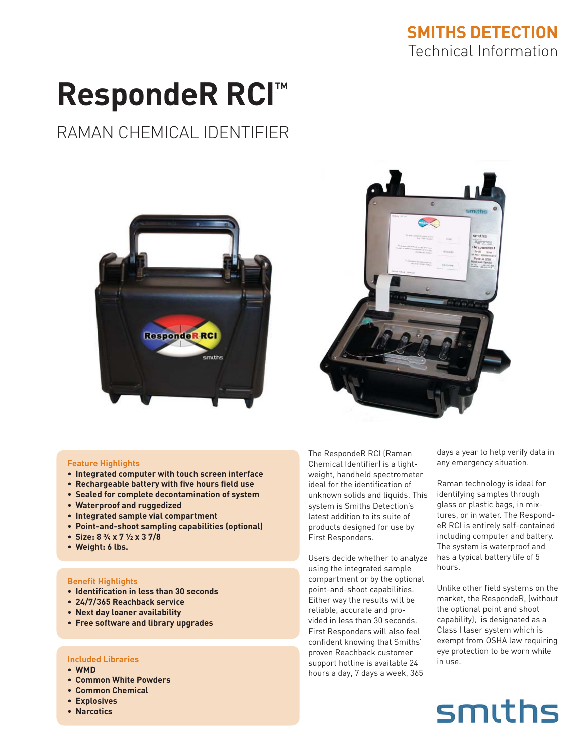### **SMITHS DETECTION** Technical Information

# **RespondeR RCI™**

### RAMAN CHEMICAL IDENTIFIER





#### **Feature Highlights**

- **Integrated computer with touch screen interface •**
- **Rechargeable battery with five hours field use •**
- **Sealed for complete decontamination of system •**
- **Waterproof and ruggedized •**
- **Integrated sample vial compartment •**
- **Point-and-shoot sampling capabilities (optional) •**
- **Size: 8 ¾ x 7 ½ x 3 7/8 •**
- **Weight: 6 lbs. •**

#### **Benefit Highlights**

- **Identification in less than 30 seconds •**
- **24/7/365 Reachback service •**
- **Next day loaner availability •**
- **Free software and library upgrades •**

#### **Included Libraries**

- **WMD •**
- **Common White Powders •**
- **Common Chemical •**
- **Explosives •**
- **Narcotics •**

The RespondeR RCI (Raman Chemical Identifier) is a lightweight, handheld spectrometer ideal for the identification of unknown solids and liquids. This system is Smiths Detection's latest addition to its suite of products designed for use by First Responders.

Users decide whether to analyze using the integrated sample compartment or by the optional point-and-shoot capabilities. Either way the results will be reliable, accurate and provided in less than 30 seconds. First Responders will also feel confident knowing that Smiths' proven Reachback customer support hotline is available 24 hours a day, 7 days a week, 365

days a year to help verify data in any emergency situation.

Raman technology is ideal for identifying samples through glass or plastic bags, in mixtures, or in water. The RespondeR RCI is entirely self-contained including computer and battery. The system is waterproof and has a typical battery life of 5 hours.

Unlike other field systems on the market, the RespondeR, (without the optional point and shoot capability), is designated as a Class I laser system which is exempt from OSHA law requiring eye protection to be worn while in use.

## smiths